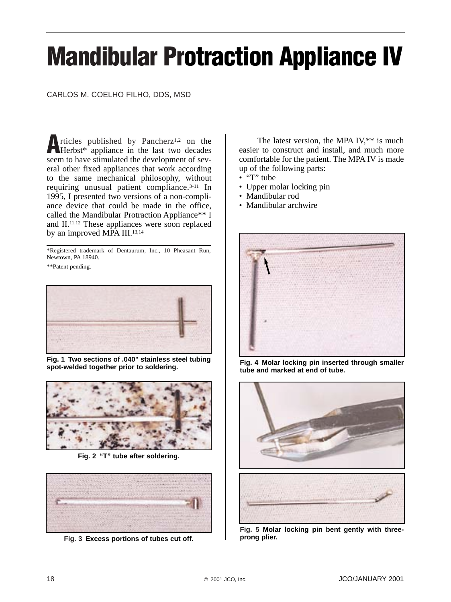# **Mandibular Protraction Appliance IV**

## CARLOS M. COELHO FILHO, DDS, MSD

**A**rticles published by Pancherz<sup>1,2</sup> on the Herbst\* appliance in the last two decades seem to have stimulated the development of several other fixed appliances that work according to the same mechanical philosophy, without requiring unusual patient compliance.3-11 In 1995, I presented two versions of a non-compliance device that could be made in the office, called the Mandibular Protraction Appliance\*\* I and II.11,12 These appliances were soon replaced by an improved MPA III.<sup>13,14</sup>

\*Registered trademark of Dentaurum, Inc., 10 Pheasant Run, Newtown, PA 18940.

\*\*Patent pending.



**Fig. 1 Two sections of .040" stainless steel tubing spot-welded together prior to soldering.** 



**Fig. 2 "T" tube after soldering.** 



**Fig. 3 Excess portions of tubes cut off.** 

The latest version, the MPA IV,\*\* is much easier to construct and install, and much more comfortable for the patient. The MPA IV is made up of the following parts:

- "T" tube
- Upper molar locking pin
- Mandibular rod
- Mandibular archwire



**Fig. 4 Molar locking pin inserted through smaller tube and marked at end of tube.** 



**Fig. 5 Molar locking pin bent gently with threeprong plier.**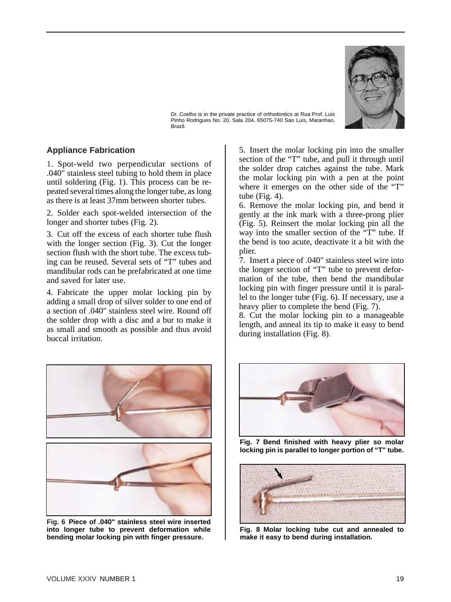

Dr. Coelho is in the private practice of orthodontics at Rua Prof. Luis Pinho Rodrigues No. 20, Sala 204, 65075-740 Sao Luis, Maranhao, Brazil.

## **Appliance Fabrication**

1. Spot-weld two perpendicular sections of .040" stainless steel tubing to hold them in place until soldering (Fig. 1). This process can be repeated several times along the longer tube, as long as there is at least 37mm between shorter tubes.

2. Solder each spot-welded intersection of the longer and shorter tubes (Fig. 2).

3. Cut off the excess of each shorter tube flush with the longer section (Fig. 3). Cut the longer section flush with the short tube. The excess tubing can be reused. Several sets of "T" tubes and mandibular rods can be prefabricated at one time and saved for later use.

4. Fabricate the upper molar locking pin by adding a small drop of silver solder to one end of a section of .040" stainless steel wire. Round off the solder drop with a disc and a bur to make it as small and smooth as possible and thus avoid buccal irritation.



**Fig. 6 Piece of .040" stainless steel wire inserted into longer tube to prevent deformation while bending molar locking pin with finger pressure.** 

5. Insert the molar locking pin into the smaller section of the "T" tube, and pull it through until the solder drop catches against the tube. Mark the molar locking pin with a pen at the point where it emerges on the other side of the "T" tube (Fig. 4).

6. Remove the molar locking pin, and bend it gently at the ink mark with a three-prong plier (Fig. 5). Reinsert the molar locking pin all the way into the smaller section of the "T" tube. If the bend is too acute, deactivate it a bit with the plier.

7. Insert a piece of .040" stainless steel wire into the longer section of "T" tube to prevent deformation of the tube, then bend the mandibular locking pin with finger pressure until it is parallel to the longer tube (Fig. 6). If necessary, use a heavy plier to complete the bend (Fig. 7).

8. Cut the molar locking pin to a manageable length, and anneal its tip to make it easy to bend during installation (Fig. 8).



**Fig. 7 Bend finished with heavy plier so molar locking pin is parallel to longer portion of "T" tube.** 



**Fig. 8 Molar locking tube cut and annealed to make it easy to bend during installation.**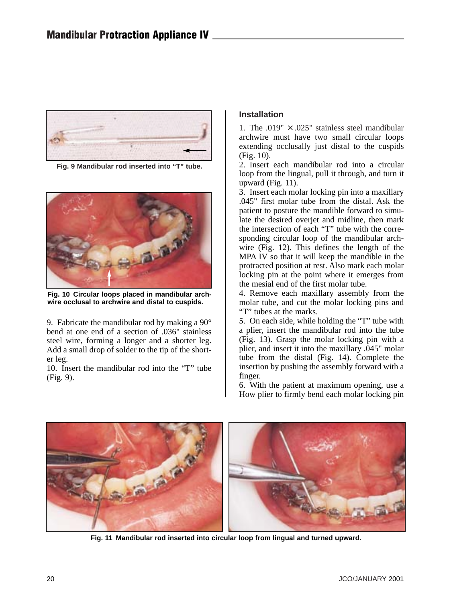

**Fig. 9 Mandibular rod inserted into "T" tube.** 



**Fig. 10 Circular loops placed in mandibular archwire occlusal to archwire and distal to cuspids.** 

9. Fabricate the mandibular rod by making a 90° bend at one end of a section of .036" stainless steel wire, forming a longer and a shorter leg. Add a small drop of solder to the tip of the shorter leg.

10. Insert the mandibular rod into the "T" tube (Fig. 9).

# **Installation**

1. The .019"  $\times$  .025" stainless steel mandibular archwire must have two small circular loops extending occlusally just distal to the cuspids (Fig. 10).

2. Insert each mandibular rod into a circular loop from the lingual, pull it through, and turn it upward (Fig. 11).

3. Insert each molar locking pin into a maxillary .045" first molar tube from the distal. Ask the patient to posture the mandible forward to simulate the desired overjet and midline, then mark the intersection of each "T" tube with the corresponding circular loop of the mandibular archwire (Fig. 12). This defines the length of the MPA IV so that it will keep the mandible in the protracted position at rest. Also mark each molar locking pin at the point where it emerges from the mesial end of the first molar tube.

4. Remove each maxillary assembly from the molar tube, and cut the molar locking pins and "T" tubes at the marks.

5. On each side, while holding the "T" tube with a plier, insert the mandibular rod into the tube (Fig. 13). Grasp the molar locking pin with a plier, and insert it into the maxillary .045" molar tube from the distal (Fig. 14). Complete the insertion by pushing the assembly forward with a finger.

6. With the patient at maximum opening, use a How plier to firmly bend each molar locking pin



**Fig. 11 Mandibular rod inserted into circular loop from lingual and turned upward.**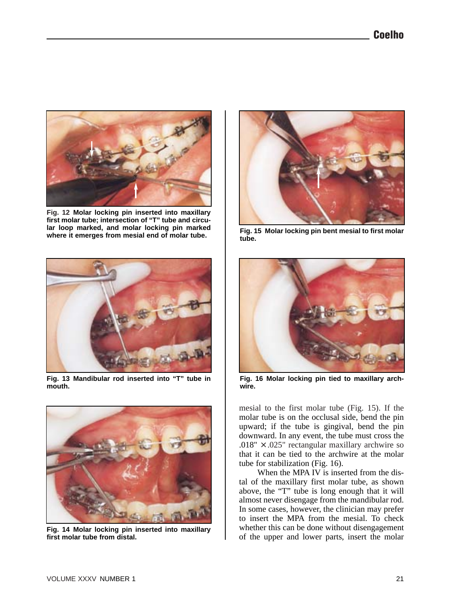

**Fig. 12 Molar locking pin inserted into maxillary first molar tube; intersection of "T" tube and circular loop marked, and molar locking pin marked where it emerges from mesial end of molar tube.** 



**Fig. 13 Mandibular rod inserted into "T" tube in mouth.** 



**Fig. 14 Molar locking pin inserted into maxillary first molar tube from distal.** 



**Fig. 15 Molar locking pin bent mesial to first molar tube.** 



**Fig. 16 Molar locking pin tied to maxillary archwire.** 

mesial to the first molar tube (Fig. 15). If the molar tube is on the occlusal side, bend the pin upward; if the tube is gingival, bend the pin downward. In any event, the tube must cross the .018"  $\times$  .025" rectangular maxillary archwire so that it can be tied to the archwire at the molar tube for stabilization (Fig. 16).

When the MPA IV is inserted from the distal of the maxillary first molar tube, as shown above, the "T" tube is long enough that it will almost never disengage from the mandibular rod. In some cases, however, the clinician may prefer to insert the MPA from the mesial. To check whether this can be done without disengagement of the upper and lower parts, insert the molar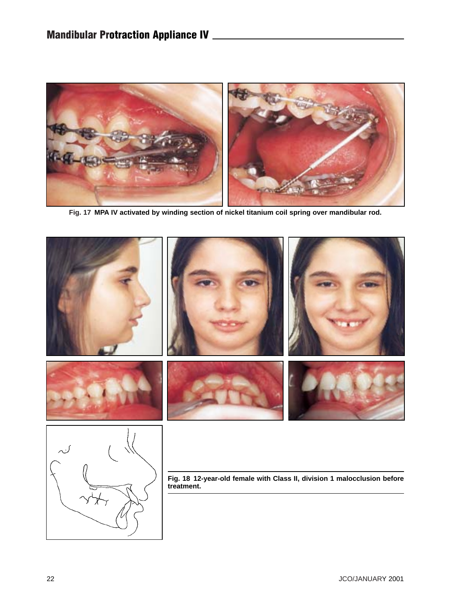

**Fig. 17 MPA IV activated by winding section of nickel titanium coil spring over mandibular rod.** 

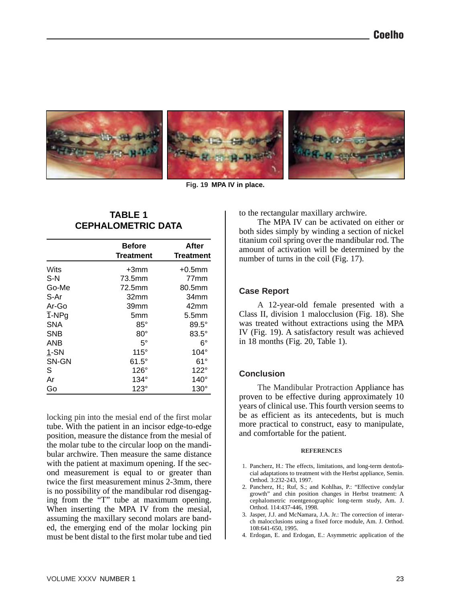

**Fig. 19 MPA IV in place.** 

# **TABLE 1 CEPHALOMETRIC DATA**

|            | <b>Before</b><br><b>Treatment</b> | After<br><b>Treatment</b> |
|------------|-----------------------------------|---------------------------|
| Wits       | +3mm                              | $+0.5$ mm                 |
| S-N        | 73.5mm                            | 77 <sub>mm</sub>          |
| Go-Me      | 72.5mm                            | 80.5mm                    |
| S-Ar       | 32mm                              | 34 <sub>mm</sub>          |
| Ar-Go      | 39mm                              | 42 <sub>mm</sub>          |
| T-NPg      | 5mm                               | 5.5 <sub>mm</sub>         |
| <b>SNA</b> | $85^\circ$                        | $89.5^\circ$              |
| <b>SNB</b> | $80^\circ$                        | $83.5^\circ$              |
| <b>ANB</b> | 5°                                | 6°                        |
| $1-SN$     | 115°                              | $104^\circ$               |
| SN-GN      | $61.5^\circ$                      | $61^{\circ}$              |
| S          | $126^\circ$                       | $122^\circ$               |
| Ar         | $134^\circ$                       | $140^\circ$               |
| Go         | $123^\circ$                       | $130^\circ$               |

locking pin into the mesial end of the first molar tube. With the patient in an incisor edge-to-edge position, measure the distance from the mesial of the molar tube to the circular loop on the mandibular archwire. Then measure the same distance with the patient at maximum opening. If the second measurement is equal to or greater than twice the first measurement minus 2-3mm, there is no possibility of the mandibular rod disengaging from the "T" tube at maximum opening. When inserting the MPA IV from the mesial, assuming the maxillary second molars are banded, the emerging end of the molar locking pin must be bent distal to the first molar tube and tied

to the rectangular maxillary archwire.

The MPA IV can be activated on either or both sides simply by winding a section of nickel titanium coil spring over the mandibular rod. The amount of activation will be determined by the number of turns in the coil (Fig. 17).

# **Case Report**

A 12-year-old female presented with a Class II, division 1 malocclusion (Fig. 18). She was treated without extractions using the MPA IV (Fig. 19). A satisfactory result was achieved in 18 months (Fig. 20, Table 1).

## **Conclusion**

The Mandibular Protraction Appliance has proven to be effective during approximately 10 years of clinical use. This fourth version seems to be as efficient as its antecedents, but is much more practical to construct, easy to manipulate, and comfortable for the patient.

#### **REFERENCES**

- 1. Pancherz, H.: The effects, limitations, and long-term dentofacial adaptations to treatment with the Herbst appliance, Semin. Orthod. 3:232-243, 1997.
- 2. Pancherz, H.; Ruf, S.; and Kohlhas, P.: "Effective condylar growth" and chin position changes in Herbst treatment: A cephalometric roentgenographic long-term study, Am. J. Orthod. 114:437-446, 1998.
- 3. Jasper, J.J. and McNamara, J.A. Jr.: The correction of interarch malocclusions using a fixed force module, Am. J. Orthod. 108:641-650, 1995.
- 4. Erdogan, E. and Erdogan, E.: Asymmetric application of the